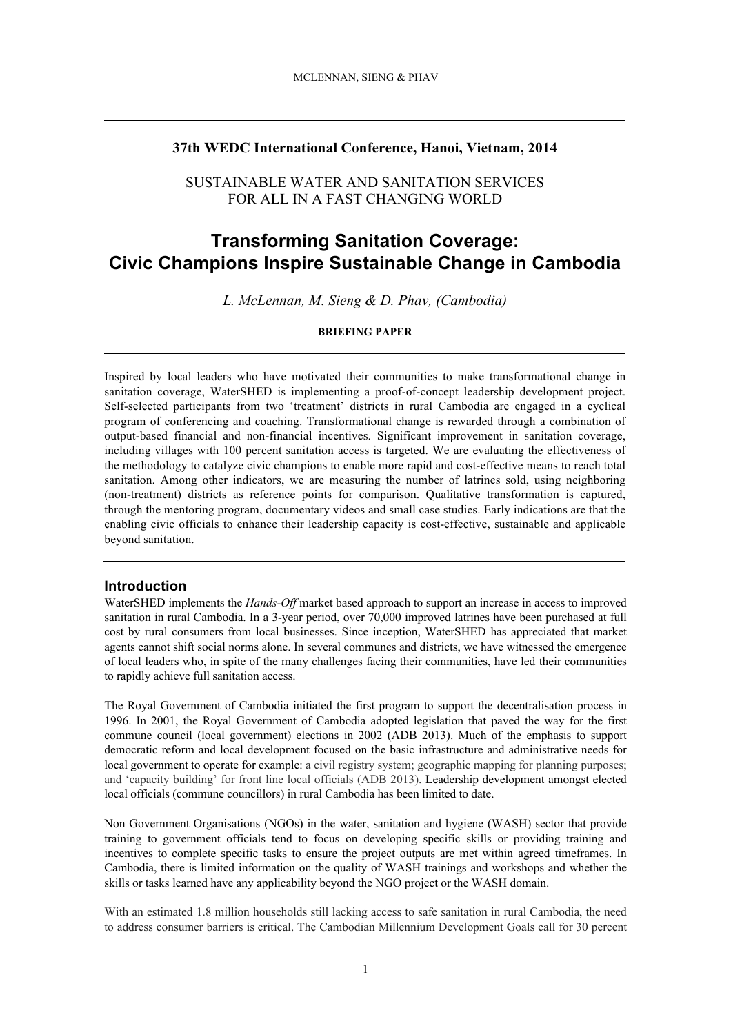#### **37th WEDC International Conference, Hanoi, Vietnam, 2014**

## SUSTAINABLE WATER AND SANITATION SERVICES FOR ALL IN A FAST CHANGING WORLD

# **Transforming Sanitation Coverage: Civic Champions Inspire Sustainable Change in Cambodia**

*L. McLennan, M. Sieng & D. Phav, (Cambodia)*

#### **BRIEFING PAPER**

Inspired by local leaders who have motivated their communities to make transformational change in sanitation coverage, WaterSHED is implementing a proof-of-concept leadership development project. Self-selected participants from two 'treatment' districts in rural Cambodia are engaged in a cyclical program of conferencing and coaching. Transformational change is rewarded through a combination of output-based financial and non-financial incentives. Significant improvement in sanitation coverage, including villages with 100 percent sanitation access is targeted. We are evaluating the effectiveness of the methodology to catalyze civic champions to enable more rapid and cost-effective means to reach total sanitation. Among other indicators, we are measuring the number of latrines sold, using neighboring (non-treatment) districts as reference points for comparison. Qualitative transformation is captured, through the mentoring program, documentary videos and small case studies. Early indications are that the enabling civic officials to enhance their leadership capacity is cost-effective, sustainable and applicable beyond sanitation.

#### **Introduction**

WaterSHED implements the *Hands-Off* market based approach to support an increase in access to improved sanitation in rural Cambodia. In a 3-year period, over 70,000 improved latrines have been purchased at full cost by rural consumers from local businesses. Since inception, WaterSHED has appreciated that market agents cannot shift social norms alone. In several communes and districts, we have witnessed the emergence of local leaders who, in spite of the many challenges facing their communities, have led their communities to rapidly achieve full sanitation access.

The Royal Government of Cambodia initiated the first program to support the decentralisation process in 1996. In 2001, the Royal Government of Cambodia adopted legislation that paved the way for the first commune council (local government) elections in 2002 (ADB 2013). Much of the emphasis to support democratic reform and local development focused on the basic infrastructure and administrative needs for local government to operate for example: a civil registry system; geographic mapping for planning purposes; and 'capacity building' for front line local officials (ADB 2013). Leadership development amongst elected local officials (commune councillors) in rural Cambodia has been limited to date.

Non Government Organisations (NGOs) in the water, sanitation and hygiene (WASH) sector that provide training to government officials tend to focus on developing specific skills or providing training and incentives to complete specific tasks to ensure the project outputs are met within agreed timeframes. In Cambodia, there is limited information on the quality of WASH trainings and workshops and whether the skills or tasks learned have any applicability beyond the NGO project or the WASH domain.

With an estimated 1.8 million households still lacking access to safe sanitation in rural Cambodia, the need to address consumer barriers is critical. The Cambodian Millennium Development Goals call for 30 percent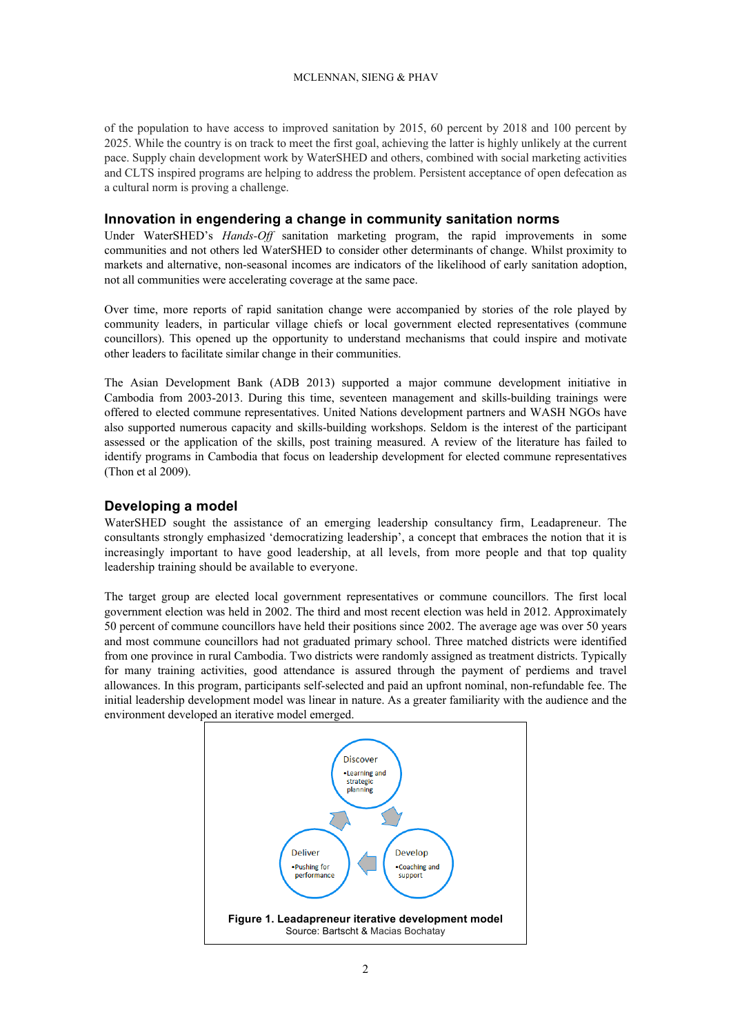#### MCLENNAN, SIENG & PHAV

of the population to have access to improved sanitation by 2015, 60 percent by 2018 and 100 percent by 2025. While the country is on track to meet the first goal, achieving the latter is highly unlikely at the current pace. Supply chain development work by WaterSHED and others, combined with social marketing activities and CLTS inspired programs are helping to address the problem. Persistent acceptance of open defecation as a cultural norm is proving a challenge.

#### **Innovation in engendering a change in community sanitation norms**

Under WaterSHED's *Hands-Off* sanitation marketing program, the rapid improvements in some communities and not others led WaterSHED to consider other determinants of change. Whilst proximity to markets and alternative, non-seasonal incomes are indicators of the likelihood of early sanitation adoption, not all communities were accelerating coverage at the same pace.

Over time, more reports of rapid sanitation change were accompanied by stories of the role played by community leaders, in particular village chiefs or local government elected representatives (commune councillors). This opened up the opportunity to understand mechanisms that could inspire and motivate other leaders to facilitate similar change in their communities.

The Asian Development Bank (ADB 2013) supported a major commune development initiative in Cambodia from 2003-2013. During this time, seventeen management and skills-building trainings were offered to elected commune representatives. United Nations development partners and WASH NGOs have also supported numerous capacity and skills-building workshops. Seldom is the interest of the participant assessed or the application of the skills, post training measured. A review of the literature has failed to identify programs in Cambodia that focus on leadership development for elected commune representatives (Thon et al 2009).

## **Developing a model**

WaterSHED sought the assistance of an emerging leadership consultancy firm, Leadapreneur. The consultants strongly emphasized 'democratizing leadership', a concept that embraces the notion that it is increasingly important to have good leadership, at all levels, from more people and that top quality leadership training should be available to everyone.

The target group are elected local government representatives or commune councillors. The first local government election was held in 2002. The third and most recent election was held in 2012. Approximately 50 percent of commune councillors have held their positions since 2002. The average age was over 50 years and most commune councillors had not graduated primary school. Three matched districts were identified from one province in rural Cambodia. Two districts were randomly assigned as treatment districts. Typically for many training activities, good attendance is assured through the payment of perdiems and travel allowances. In this program, participants self-selected and paid an upfront nominal, non-refundable fee. The initial leadership development model was linear in nature. As a greater familiarity with the audience and the environment developed an iterative model emerged.

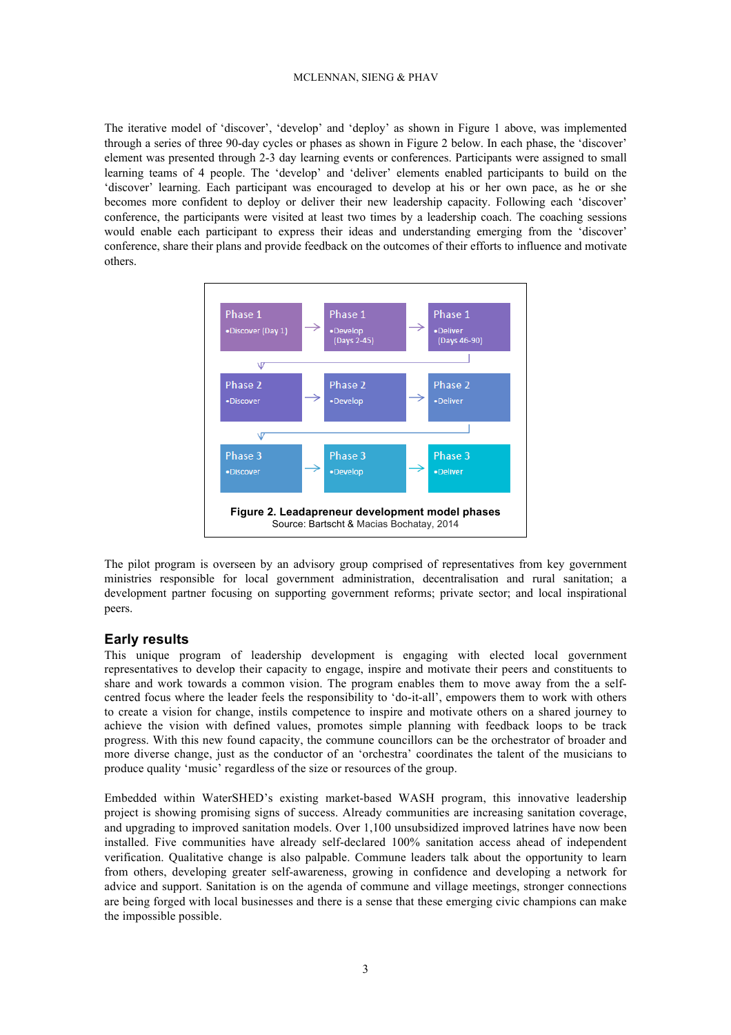#### MCLENNAN, SIENG & PHAV

The iterative model of 'discover', 'develop' and 'deploy' as shown in Figure 1 above, was implemented through a series of three 90-day cycles or phases as shown in Figure 2 below. In each phase, the 'discover' element was presented through 2-3 day learning events or conferences. Participants were assigned to small learning teams of 4 people. The 'develop' and 'deliver' elements enabled participants to build on the 'discover' learning. Each participant was encouraged to develop at his or her own pace, as he or she becomes more confident to deploy or deliver their new leadership capacity. Following each 'discover' conference, the participants were visited at least two times by a leadership coach. The coaching sessions would enable each participant to express their ideas and understanding emerging from the 'discover' conference, share their plans and provide feedback on the outcomes of their efforts to influence and motivate others.



The pilot program is overseen by an advisory group comprised of representatives from key government ministries responsible for local government administration, decentralisation and rural sanitation; a development partner focusing on supporting government reforms; private sector; and local inspirational peers.

#### **Early results**

This unique program of leadership development is engaging with elected local government representatives to develop their capacity to engage, inspire and motivate their peers and constituents to share and work towards a common vision. The program enables them to move away from the a selfcentred focus where the leader feels the responsibility to 'do-it-all', empowers them to work with others to create a vision for change, instils competence to inspire and motivate others on a shared journey to achieve the vision with defined values, promotes simple planning with feedback loops to be track progress. With this new found capacity, the commune councillors can be the orchestrator of broader and more diverse change, just as the conductor of an 'orchestra' coordinates the talent of the musicians to produce quality 'music' regardless of the size or resources of the group.

Embedded within WaterSHED's existing market-based WASH program, this innovative leadership project is showing promising signs of success. Already communities are increasing sanitation coverage, and upgrading to improved sanitation models. Over 1,100 unsubsidized improved latrines have now been installed. Five communities have already self-declared 100% sanitation access ahead of independent verification. Qualitative change is also palpable. Commune leaders talk about the opportunity to learn from others, developing greater self-awareness, growing in confidence and developing a network for advice and support. Sanitation is on the agenda of commune and village meetings, stronger connections are being forged with local businesses and there is a sense that these emerging civic champions can make the impossible possible.